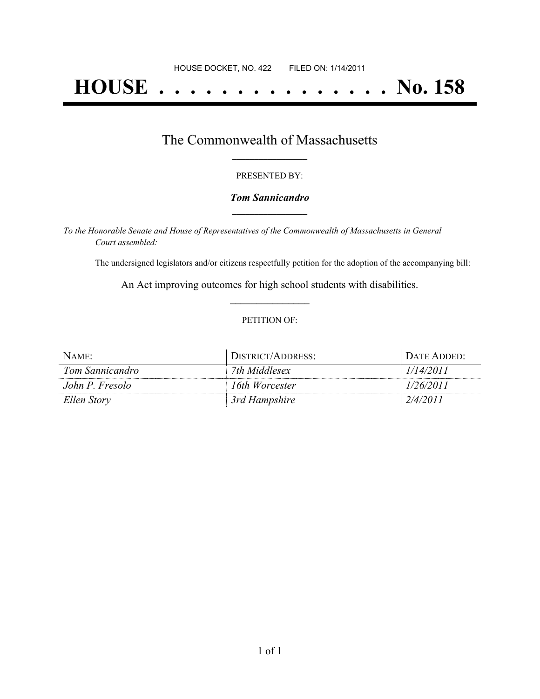# **HOUSE . . . . . . . . . . . . . . . No. 158**

### The Commonwealth of Massachusetts **\_\_\_\_\_\_\_\_\_\_\_\_\_\_\_\_\_**

#### PRESENTED BY:

#### *Tom Sannicandro* **\_\_\_\_\_\_\_\_\_\_\_\_\_\_\_\_\_**

*To the Honorable Senate and House of Representatives of the Commonwealth of Massachusetts in General Court assembled:*

The undersigned legislators and/or citizens respectfully petition for the adoption of the accompanying bill:

An Act improving outcomes for high school students with disabilities. **\_\_\_\_\_\_\_\_\_\_\_\_\_\_\_**

#### PETITION OF:

| NAME:           | DISTRICT/ADDRESS: | DATE ADDED: |
|-----------------|-------------------|-------------|
| Tom Sannicandro | 7th Middlesex     | 1/14/2011   |
| John P. Fresolo | 16th Worcester    | 1/26/2011   |
| Ellen Story     | 3rd Hampshire     | 2/4/2011    |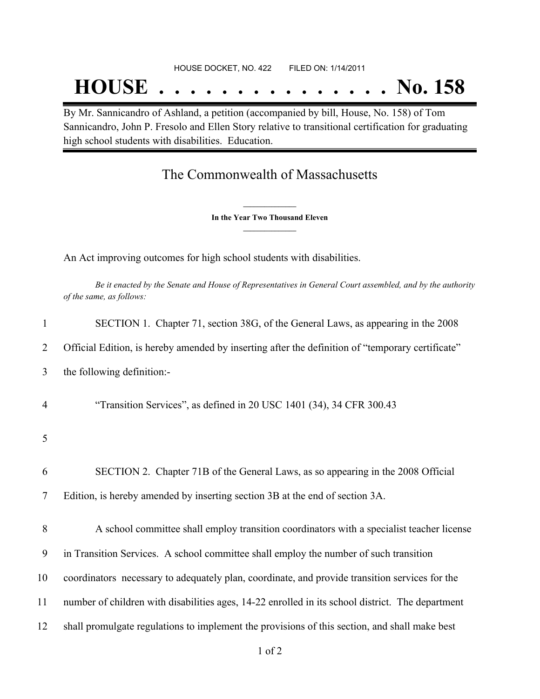## **HOUSE . . . . . . . . . . . . . . . No. 158**

By Mr. Sannicandro of Ashland, a petition (accompanied by bill, House, No. 158) of Tom Sannicandro, John P. Fresolo and Ellen Story relative to transitional certification for graduating high school students with disabilities. Education.

### The Commonwealth of Massachusetts

**\_\_\_\_\_\_\_\_\_\_\_\_\_\_\_ In the Year Two Thousand Eleven \_\_\_\_\_\_\_\_\_\_\_\_\_\_\_**

An Act improving outcomes for high school students with disabilities.

Be it enacted by the Senate and House of Representatives in General Court assembled, and by the authority *of the same, as follows:*

| $\mathbf{1}$   | SECTION 1. Chapter 71, section 38G, of the General Laws, as appearing in the 2008                |
|----------------|--------------------------------------------------------------------------------------------------|
| 2              | Official Edition, is hereby amended by inserting after the definition of "temporary certificate" |
| 3              | the following definition:-                                                                       |
| $\overline{4}$ | "Transition Services", as defined in 20 USC 1401 (34), 34 CFR 300.43                             |
| 5              |                                                                                                  |
| 6              | SECTION 2. Chapter 71B of the General Laws, as so appearing in the 2008 Official                 |
| 7              | Edition, is hereby amended by inserting section 3B at the end of section 3A.                     |
| 8              | A school committee shall employ transition coordinators with a specialist teacher license        |
| 9              | in Transition Services. A school committee shall employ the number of such transition            |
| 10             | coordinators necessary to adequately plan, coordinate, and provide transition services for the   |
| 11             | number of children with disabilities ages, 14-22 enrolled in its school district. The department |
| 12             | shall promulgate regulations to implement the provisions of this section, and shall make best    |
|                |                                                                                                  |